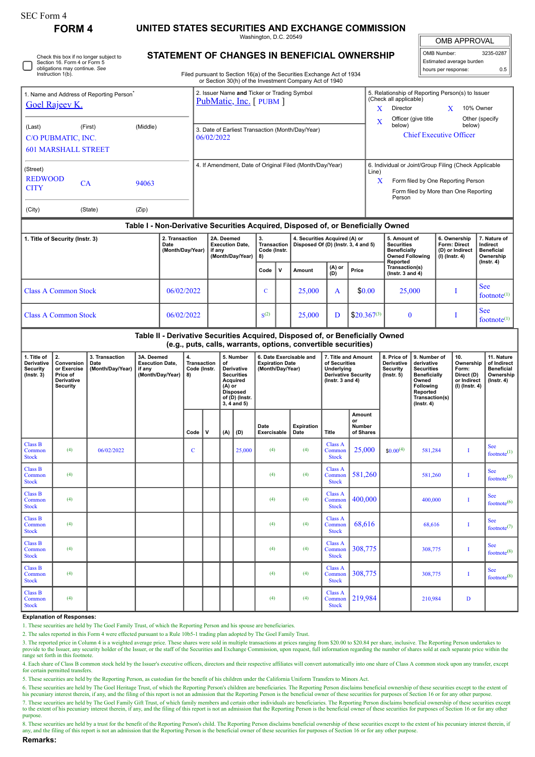П

## **FORM 4 UNITED STATES SECURITIES AND EXCHANGE COMMISSION**

Washington, D.C. 20549

OMB APPROVAL OMB Number: 3235-0287

Estimated average burden hours per response: 0.5

| Check this box if no longer subject to |
|----------------------------------------|
| Section 16. Form 4 or Form 5           |
| obligations may continue. See          |
| Instruction 1(b).                      |

## **STATEMENT OF CHANGES IN BENEFICIAL OWNERSHIP**

Filed pursuant to Section 16(a) of the Securities Exchange Act of 1934 or Section 30(h) of the Investment Company Act of 1940

| 1. Name and Address of Reporting Person <sup>®</sup><br><b>Goel Rajeev K.</b>                 |                                                                              |                                            |                                                                    |  |          | 2. Issuer Name and Ticker or Trading Symbol<br>PubMatic, Inc. [PUBM] |     |                                                                                                                                  |                                                                                                                        |                                                                       |                                                                                                                                                 |                                                                                                          |                                     | 5. Relationship of Reporting Person(s) to Issuer<br>(Check all applicable)<br>Director<br>10% Owner<br>X<br>X |                                                                                                                                                              |                                                                                                                                                |                                                                          |                                                                          |                                                                                 |  |
|-----------------------------------------------------------------------------------------------|------------------------------------------------------------------------------|--------------------------------------------|--------------------------------------------------------------------|--|----------|----------------------------------------------------------------------|-----|----------------------------------------------------------------------------------------------------------------------------------|------------------------------------------------------------------------------------------------------------------------|-----------------------------------------------------------------------|-------------------------------------------------------------------------------------------------------------------------------------------------|----------------------------------------------------------------------------------------------------------|-------------------------------------|---------------------------------------------------------------------------------------------------------------|--------------------------------------------------------------------------------------------------------------------------------------------------------------|------------------------------------------------------------------------------------------------------------------------------------------------|--------------------------------------------------------------------------|--------------------------------------------------------------------------|---------------------------------------------------------------------------------|--|
| (Middle)<br>(First)<br>(Last)<br>C/O PUBMATIC, INC.<br><b>601 MARSHALL STREET</b>             |                                                                              |                                            |                                                                    |  |          | 3. Date of Earliest Transaction (Month/Day/Year)<br>06/02/2022       |     |                                                                                                                                  |                                                                                                                        |                                                                       |                                                                                                                                                 |                                                                                                          |                                     |                                                                                                               | Officer (give title<br>Other (specify<br>X<br>below)<br>below)<br><b>Chief Executive Officer</b>                                                             |                                                                                                                                                |                                                                          |                                                                          |                                                                                 |  |
| (Street)<br><b>REDWOOD</b><br>94063<br><b>CA</b><br><b>CITY</b><br>(State)<br>(Zip)<br>(City) |                                                                              |                                            |                                                                    |  |          | 4. If Amendment, Date of Original Filed (Month/Day/Year)             |     |                                                                                                                                  |                                                                                                                        |                                                                       |                                                                                                                                                 |                                                                                                          |                                     |                                                                                                               | 6. Individual or Joint/Group Filing (Check Applicable<br>Line)<br>Form filed by One Reporting Person<br>X<br>Form filed by More than One Reporting<br>Person |                                                                                                                                                |                                                                          |                                                                          |                                                                                 |  |
|                                                                                               |                                                                              |                                            |                                                                    |  |          |                                                                      |     |                                                                                                                                  |                                                                                                                        |                                                                       | Table I - Non-Derivative Securities Acquired, Disposed of, or Beneficially Owned                                                                |                                                                                                          |                                     |                                                                                                               |                                                                                                                                                              |                                                                                                                                                |                                                                          |                                                                          |                                                                                 |  |
| 2. Transaction<br>1. Title of Security (Instr. 3)<br>Date<br>(Month/Day/Year)                 |                                                                              |                                            |                                                                    |  |          | 2A. Deemed<br><b>Execution Date,</b><br>if any<br>(Month/Day/Year)   |     |                                                                                                                                  | 3.<br>4. Securities Acquired (A) or<br>Disposed Of (D) (Instr. 3, 4 and 5)<br><b>Transaction</b><br>Code (Instr.<br>8) |                                                                       |                                                                                                                                                 |                                                                                                          |                                     | 5. Amount of<br><b>Securities</b><br><b>Beneficially</b><br><b>Owned Following</b><br>Reported                |                                                                                                                                                              |                                                                                                                                                | 6. Ownership<br><b>Form: Direct</b><br>(D) or Indirect<br>(I) (Instr. 4) |                                                                          | 7. Nature of<br>Indirect<br><b>Beneficial</b><br>Ownership<br>$($ Instr. 4 $)$  |  |
|                                                                                               |                                                                              |                                            |                                                                    |  |          |                                                                      |     |                                                                                                                                  | Code                                                                                                                   | v                                                                     | Amount                                                                                                                                          | (A) or<br>(D)                                                                                            | Price                               |                                                                                                               | Transaction(s)<br>(Instr. $3$ and $4$ )                                                                                                                      |                                                                                                                                                |                                                                          |                                                                          |                                                                                 |  |
| <b>Class A Common Stock</b><br>06/02/2022                                                     |                                                                              |                                            |                                                                    |  |          |                                                                      |     |                                                                                                                                  | $\mathbf C$                                                                                                            |                                                                       | 25,000                                                                                                                                          | A                                                                                                        | \$0.00                              |                                                                                                               | 25,000                                                                                                                                                       |                                                                                                                                                |                                                                          | Ι                                                                        | <b>See</b><br>footnote $(1)$                                                    |  |
| <b>Class A Common Stock</b><br>06/02/2022                                                     |                                                                              |                                            |                                                                    |  |          |                                                                      |     | $S^{(2)}$                                                                                                                        |                                                                                                                        | 25,000                                                                | D                                                                                                                                               | $$20.367^{(3)}$                                                                                          |                                     | $\bf{0}$                                                                                                      |                                                                                                                                                              |                                                                                                                                                | I                                                                        | See<br>footnote $(1)$                                                    |                                                                                 |  |
|                                                                                               |                                                                              |                                            |                                                                    |  |          |                                                                      |     |                                                                                                                                  |                                                                                                                        |                                                                       | Table II - Derivative Securities Acquired, Disposed of, or Beneficially Owned<br>(e.g., puts, calls, warrants, options, convertible securities) |                                                                                                          |                                     |                                                                                                               |                                                                                                                                                              |                                                                                                                                                |                                                                          |                                                                          |                                                                                 |  |
| 1. Title of<br>Derivative<br><b>Security</b><br>$($ Instr. 3 $)$                              | 2.<br>Conversion<br>or Exercise<br>Price of<br>Derivative<br><b>Security</b> | 3. Transaction<br>Date<br>(Month/Day/Year) | 3A. Deemed<br><b>Execution Date,</b><br>if any<br>(Month/Day/Year) |  | 4.<br>8) | Transaction<br>Code (Instr.                                          |     | 5. Number<br>of<br>Derivative<br><b>Securities</b><br>Acquired<br>(A) or<br><b>Disposed</b><br>of (D) (Instr.<br>$3, 4$ and $5)$ |                                                                                                                        | 6. Date Exercisable and<br><b>Expiration Date</b><br>(Month/Day/Year) |                                                                                                                                                 | 7. Title and Amount<br>of Securities<br>Underlying<br><b>Derivative Security</b><br>( $lnstr. 3 and 4$ ) |                                     | 8. Price of<br>Derivative<br><b>Security</b><br>$($ Instr. 5 $)$                                              |                                                                                                                                                              | 9. Number of<br>derivative<br><b>Securities</b><br><b>Beneficially</b><br>Owned<br>Following<br>Reported<br>Transaction(s)<br>$($ Instr. 4 $)$ |                                                                          | 10.<br>Ownership<br>Form:<br>Direct (D)<br>or Indirect<br>(I) (Instr. 4) | 11. Nature<br>of Indirect<br><b>Beneficial</b><br>Ownership<br>$($ Instr. 4 $)$ |  |
|                                                                                               |                                                                              |                                            |                                                                    |  | Code     | V                                                                    | (A) | (D)                                                                                                                              | Date<br>Exercisable                                                                                                    |                                                                       | <b>Expiration</b><br>Date                                                                                                                       | Title                                                                                                    | Amount<br>or<br>Number<br>of Shares |                                                                                                               |                                                                                                                                                              |                                                                                                                                                |                                                                          |                                                                          |                                                                                 |  |
| <b>Class B</b><br>Common<br><b>Stock</b>                                                      | (4)                                                                          | 06/02/2022                                 |                                                                    |  | C        |                                                                      |     | 25,000                                                                                                                           | (4)                                                                                                                    |                                                                       | (4)                                                                                                                                             | <b>Class A</b><br>Common<br><b>Stock</b>                                                                 | 25,000                              |                                                                                                               | $$0.00^{(4)}$                                                                                                                                                | 581,284                                                                                                                                        |                                                                          | I                                                                        | See<br>footnote $(1)$                                                           |  |
| <b>Class B</b><br>Common<br><b>Stock</b>                                                      | (4)                                                                          |                                            |                                                                    |  |          |                                                                      |     |                                                                                                                                  | (4)                                                                                                                    |                                                                       | (4)                                                                                                                                             | Class A<br>Common<br><b>Stock</b>                                                                        | 581,260                             |                                                                                                               |                                                                                                                                                              | 581,260                                                                                                                                        |                                                                          | Ι                                                                        | <b>See</b><br>footnote <sup><math>(5)</math></sup>                              |  |
| <b>Class B</b><br>Common<br><b>Stock</b>                                                      | (4)                                                                          |                                            |                                                                    |  |          |                                                                      |     |                                                                                                                                  | (4)                                                                                                                    |                                                                       | (4)                                                                                                                                             | Class A<br>Common<br><b>Stock</b>                                                                        | 400,000                             |                                                                                                               |                                                                                                                                                              | 400,000                                                                                                                                        |                                                                          | I                                                                        | <b>See</b><br>footnote <sup>(6)</sup>                                           |  |
| Class B<br>Common<br><b>Stock</b>                                                             | (4)                                                                          |                                            |                                                                    |  |          |                                                                      |     |                                                                                                                                  | (4)                                                                                                                    |                                                                       | (4)                                                                                                                                             | <b>Class A</b><br>Common<br><b>Stock</b>                                                                 | 68,616                              |                                                                                                               |                                                                                                                                                              | 68,616                                                                                                                                         |                                                                          | $\bf{I}$                                                                 | See<br>footnote $(7)$                                                           |  |
| Class B<br>Common<br><b>Stock</b>                                                             | (4)                                                                          |                                            |                                                                    |  |          |                                                                      |     |                                                                                                                                  | (4)                                                                                                                    |                                                                       | (4)                                                                                                                                             | <b>Class A</b><br>Common<br><b>Stock</b>                                                                 | 308,775                             |                                                                                                               |                                                                                                                                                              | 308,775                                                                                                                                        |                                                                          | $\bf{I}$                                                                 | <b>See</b><br>footnote $(8)$                                                    |  |
| <b>Class B</b><br>Common<br><b>Stock</b>                                                      | (4)                                                                          |                                            |                                                                    |  |          |                                                                      |     |                                                                                                                                  | (4)                                                                                                                    |                                                                       | (4)                                                                                                                                             | <b>Class A</b><br>Common<br><b>Stock</b>                                                                 | 308,775                             |                                                                                                               |                                                                                                                                                              | 308,775                                                                                                                                        |                                                                          | I                                                                        | <b>See</b><br>footnote $(8)$                                                    |  |
|                                                                                               |                                                                              |                                            |                                                                    |  |          |                                                                      |     |                                                                                                                                  |                                                                                                                        |                                                                       |                                                                                                                                                 | <b>Class A</b>                                                                                           |                                     |                                                                                                               |                                                                                                                                                              |                                                                                                                                                |                                                                          |                                                                          |                                                                                 |  |
| <b>Class B</b><br>Common<br><b>Stock</b>                                                      | (4)                                                                          |                                            |                                                                    |  |          |                                                                      |     |                                                                                                                                  | (4)                                                                                                                    |                                                                       | (4)                                                                                                                                             | Common<br><b>Stock</b>                                                                                   | 219,984                             |                                                                                                               |                                                                                                                                                              | 210.984                                                                                                                                        |                                                                          | D                                                                        |                                                                                 |  |

1. These securities are held by The Goel Family Trust, of which the Reporting Person and his spouse are beneficiaries.

2. The sales reported in this Form 4 were effected pursuant to a Rule 10b5-1 trading plan adopted by The Goel Family Trust.

3. The reported price in Column 4 is a weighted average price. These shares were sold in multiple transactions at prices ranging from \$20.00 to \$20.84 per share, inclusive. The Reporting Person undertakes to<br>provide to the range set forth in this footnote.

4. Each share of Class B common stock held by the Issuer's executive officers, directors and their respective affiliates will convert automatically into one share of Class A common stock upon any transfer, except for certain permitted transfers.

5. These securities are held by the Reporting Person, as custodian for the benefit of his children under the California Uniform Transfers to Minors Act.

6. These securities are held by The Goel Heritage Trust, of which the Reporting Person's children are beneficiaries. The Reporting Person disclaims beneficial ownership of these securities except to the extent of his pecuniary interest therein, if any, and the filing of this report is not an admission that the Reporting Person is the beneficial owner of these securities for purposes of Section 16 or for any other purpose. 7. These securities are held by The Goel Family Gift Trust, of which family members and certain other individuals are beneficiaries. The Reporting Person disclaims beneficial ownership of these securities except to the extent of his pecuniary interest therein, if any, and the filing of this report is not an admission that the Reporting Person is the beneficial owner of these securities for purposes of Section 16 or for any other purpose.

8. These securities are held by a trust for the benefit of the Reporting Person's child. The Reporting Person disclaims beneficial ownership of these securities except to the extent of his pecuniary interest therein, if any, and the filing of this report is not an admission that the Reporting Person is the beneficial owner of these securities for purposes of Section 16 or for any other purpose.

**Remarks:**